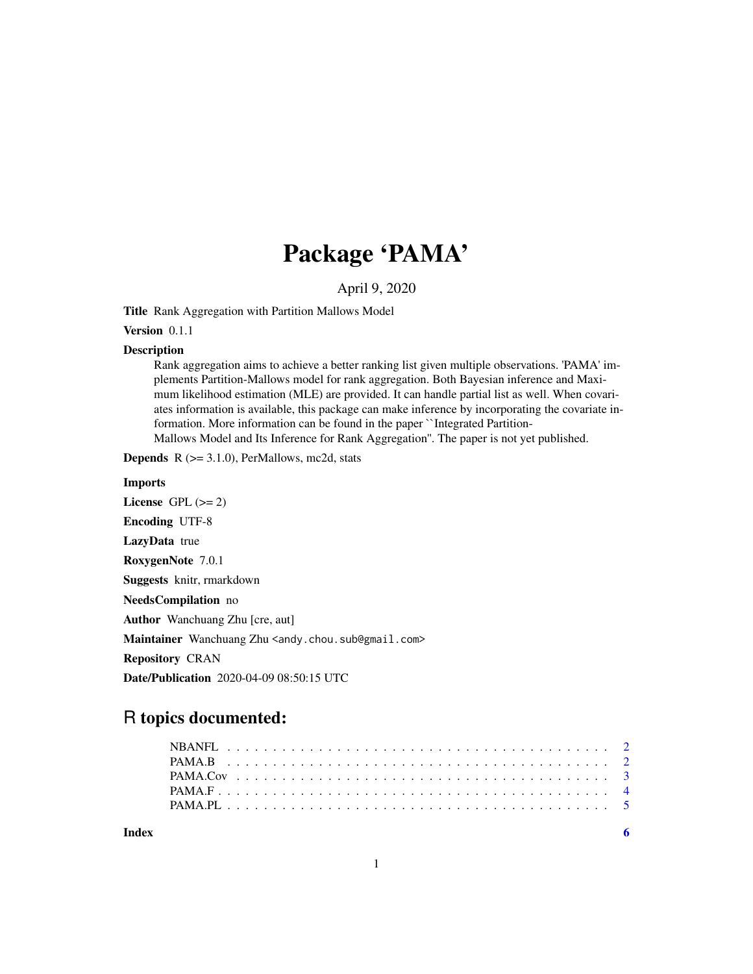# Package 'PAMA'

April 9, 2020

Title Rank Aggregation with Partition Mallows Model

Version 0.1.1

#### Description

Rank aggregation aims to achieve a better ranking list given multiple observations. 'PAMA' implements Partition-Mallows model for rank aggregation. Both Bayesian inference and Maximum likelihood estimation (MLE) are provided. It can handle partial list as well. When covariates information is available, this package can make inference by incorporating the covariate information. More information can be found in the paper ``Integrated Partition-Mallows Model and Its Inference for Rank Aggregation''. The paper is not yet published.

**Depends**  $R$  ( $>= 3.1.0$ ), PerMallows, mc2d, stats

#### Imports

License GPL  $(>= 2)$ Encoding UTF-8 LazyData true RoxygenNote 7.0.1 Suggests knitr, rmarkdown NeedsCompilation no Author Wanchuang Zhu [cre, aut] Maintainer Wanchuang Zhu <andy.chou.sub@gmail.com> Repository CRAN Date/Publication 2020-04-09 08:50:15 UTC

# R topics documented:

**Index** [6](#page-5-0) **6**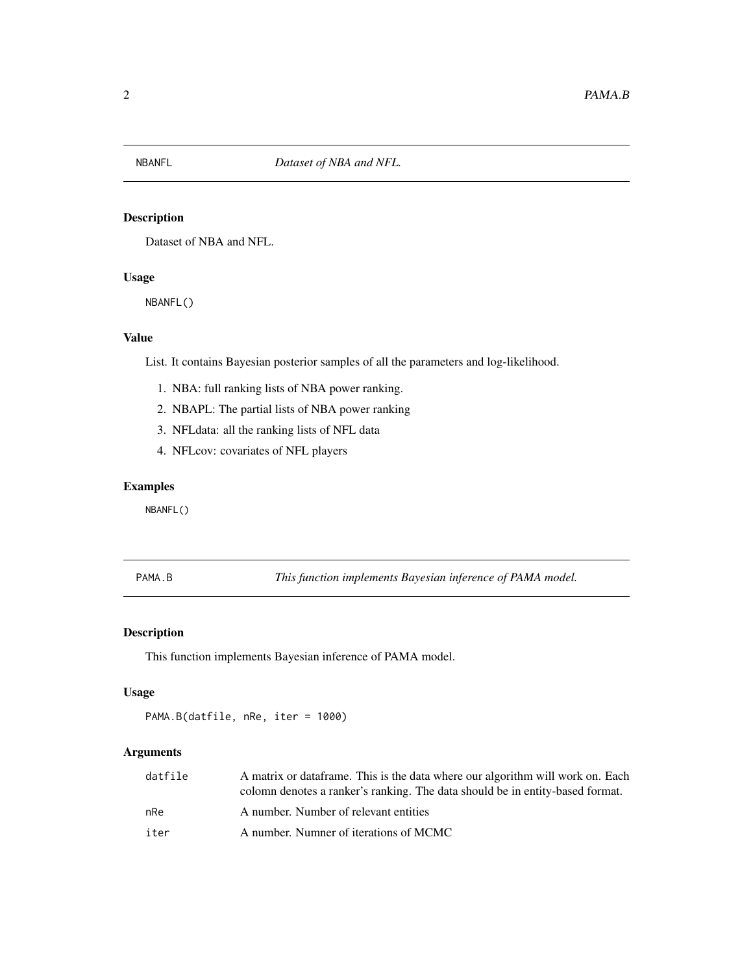<span id="page-1-0"></span>

#### Description

Dataset of NBA and NFL.

# Usage

NBANFL()

# Value

List. It contains Bayesian posterior samples of all the parameters and log-likelihood.

- 1. NBA: full ranking lists of NBA power ranking.
- 2. NBAPL: The partial lists of NBA power ranking
- 3. NFLdata: all the ranking lists of NFL data
- 4. NFLcov: covariates of NFL players

# Examples

NBANFL()

PAMA.B *This function implements Bayesian inference of PAMA model.*

# Description

This function implements Bayesian inference of PAMA model.

#### Usage

PAMA.B(datfile, nRe, iter = 1000)

#### Arguments

| datfile | A matrix or data frame. This is the data where our algorithm will work on. Each<br>colomn denotes a ranker's ranking. The data should be in entity-based format. |
|---------|------------------------------------------------------------------------------------------------------------------------------------------------------------------|
| nRe     | A number. Number of relevant entities                                                                                                                            |
| iter    | A number. Numner of iterations of MCMC                                                                                                                           |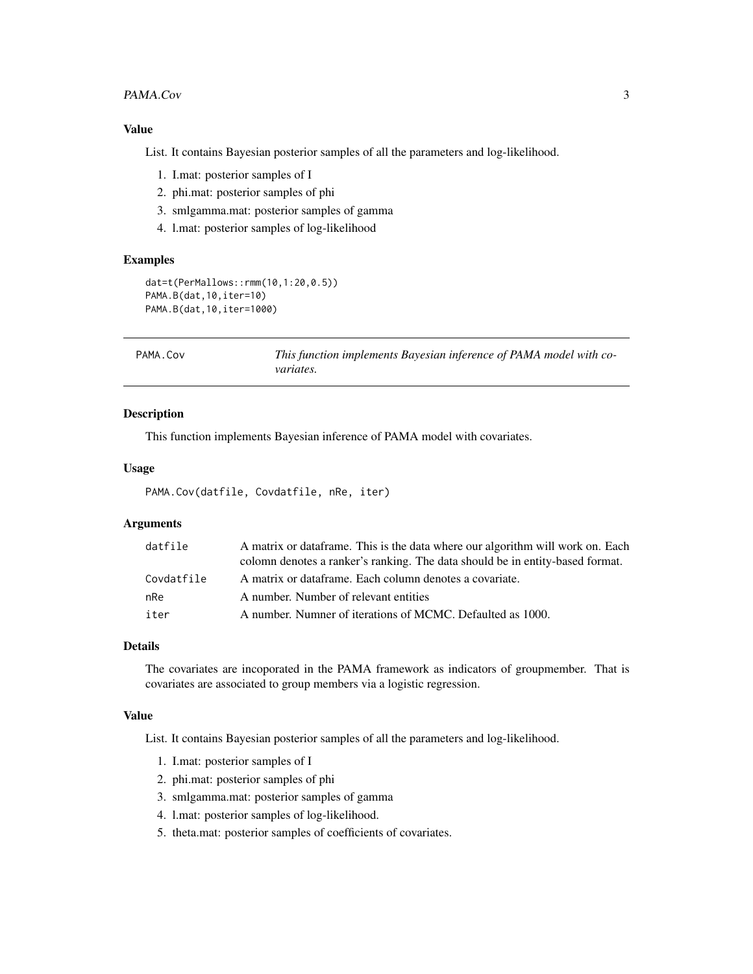#### <span id="page-2-0"></span>PAMA.Cov 3

#### Value

List. It contains Bayesian posterior samples of all the parameters and log-likelihood.

- 1. I.mat: posterior samples of I
- 2. phi.mat: posterior samples of phi
- 3. smlgamma.mat: posterior samples of gamma
- 4. l.mat: posterior samples of log-likelihood

#### Examples

```
dat=t(PerMallows::rmm(10,1:20,0.5))
PAMA.B(dat,10,iter=10)
PAMA.B(dat,10,iter=1000)
```

| PAMA, Cov | This function implements Bayesian inference of PAMA model with co- |
|-----------|--------------------------------------------------------------------|
|           | <i>variates.</i>                                                   |

#### Description

This function implements Bayesian inference of PAMA model with covariates.

#### Usage

```
PAMA.Cov(datfile, Covdatfile, nRe, iter)
```
#### Arguments

| datfile    | A matrix or data frame. This is the data where our algorithm will work on. Each |
|------------|---------------------------------------------------------------------------------|
|            | colomn denotes a ranker's ranking. The data should be in entity-based format.   |
| Covdatfile | A matrix or dataframe. Each column denotes a covariate.                         |
| nRe        | A number. Number of relevant entities                                           |
| iter       | A number. Numner of iterations of MCMC. Defaulted as 1000.                      |

#### Details

The covariates are incoporated in the PAMA framework as indicators of groupmember. That is covariates are associated to group members via a logistic regression.

#### Value

List. It contains Bayesian posterior samples of all the parameters and log-likelihood.

- 1. I.mat: posterior samples of I
- 2. phi.mat: posterior samples of phi
- 3. smlgamma.mat: posterior samples of gamma
- 4. l.mat: posterior samples of log-likelihood.
- 5. theta.mat: posterior samples of coefficients of covariates.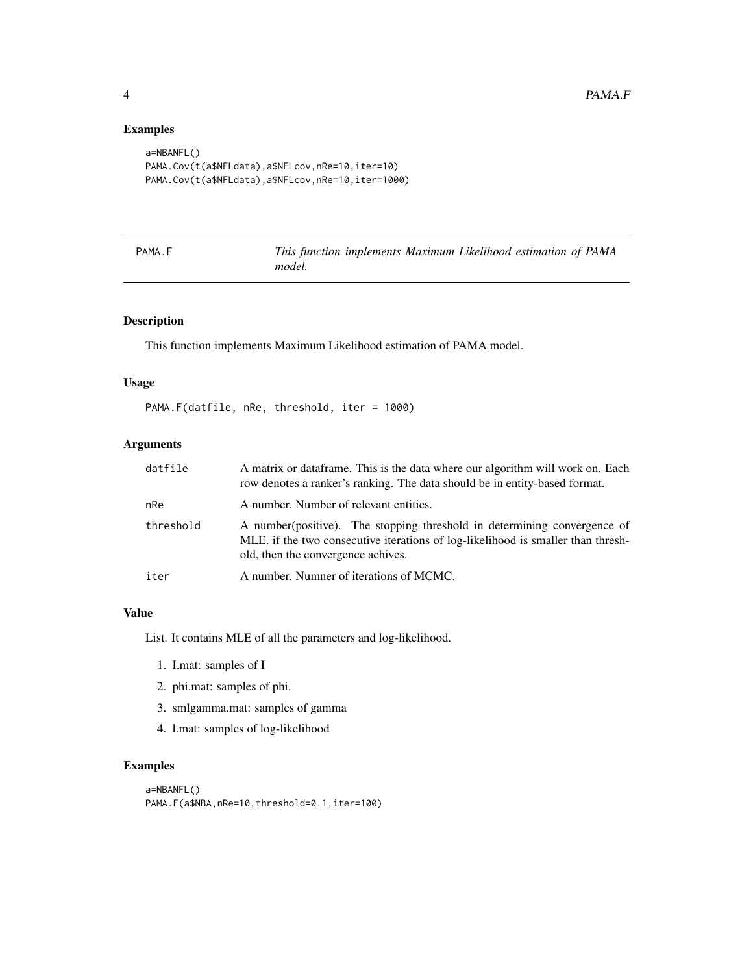#### Examples

```
a=NBANFL()
PAMA.Cov(t(a$NFLdata),a$NFLcov,nRe=10,iter=10)
PAMA.Cov(t(a$NFLdata),a$NFLcov,nRe=10,iter=1000)
```

| PAMA |  |  |
|------|--|--|
|------|--|--|

This function implements Maximum Likelihood estimation of PAMA *model.*

# Description

This function implements Maximum Likelihood estimation of PAMA model.

#### Usage

PAMA.F(datfile, nRe, threshold, iter = 1000)

#### Arguments

| datfile   | A matrix or data frame. This is the data where our algorithm will work on. Each<br>row denotes a ranker's ranking. The data should be in entity-based format.                                       |
|-----------|-----------------------------------------------------------------------------------------------------------------------------------------------------------------------------------------------------|
| nRe       | A number. Number of relevant entities.                                                                                                                                                              |
| threshold | A number (positive). The stopping threshold in determining convergence of<br>MLE, if the two consecutive iterations of log-likelihood is smaller than thresh-<br>old, then the convergence achives. |
| iter      | A number. Numner of iterations of MCMC.                                                                                                                                                             |

#### Value

List. It contains MLE of all the parameters and log-likelihood.

- 1. I.mat: samples of I
- 2. phi.mat: samples of phi.
- 3. smlgamma.mat: samples of gamma
- 4. l.mat: samples of log-likelihood

#### Examples

```
a=NBANFL()
PAMA.F(a$NBA,nRe=10,threshold=0.1,iter=100)
```
<span id="page-3-0"></span>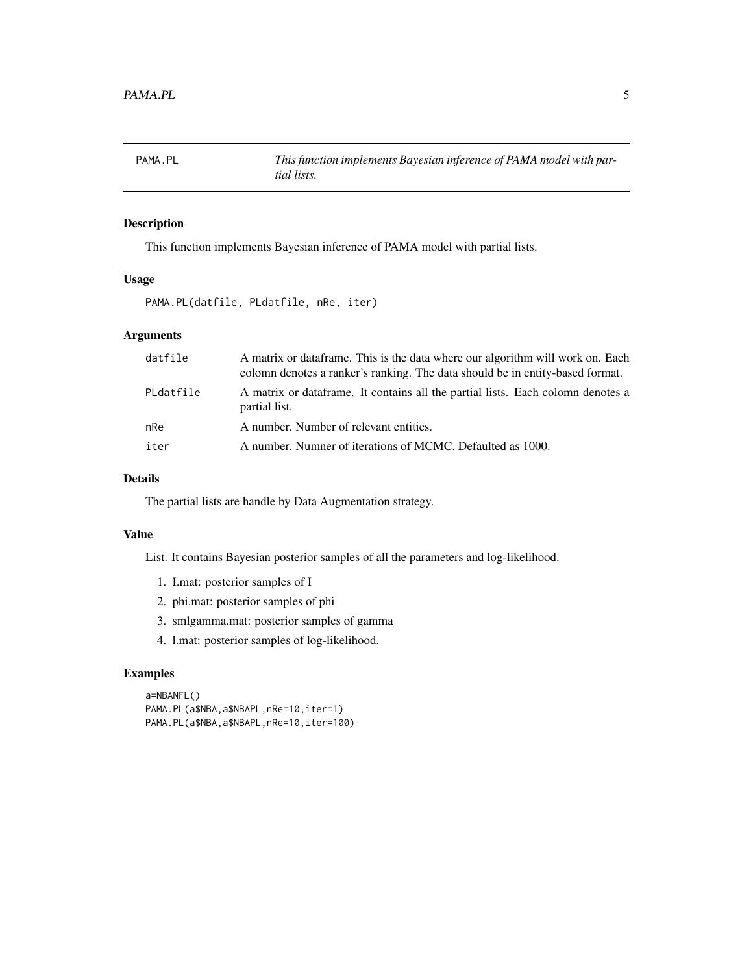<span id="page-4-0"></span>

# Description

This function implements Bayesian inference of PAMA model with partial lists.

#### Usage

PAMA.PL(datfile, PLdatfile, nRe, iter)

# Arguments

| datfile   | A matrix or dataframe. This is the data where our algorithm will work on. Each<br>colomn denotes a ranker's ranking. The data should be in entity-based format. |
|-----------|-----------------------------------------------------------------------------------------------------------------------------------------------------------------|
| PLdatfile | A matrix or data frame. It contains all the partial lists. Each colomn denotes a<br>partial list.                                                               |
| nRe       | A number. Number of relevant entities.                                                                                                                          |
| iter      | A number. Numner of iterations of MCMC. Defaulted as 1000.                                                                                                      |

#### Details

The partial lists are handle by Data Augmentation strategy.

# Value

List. It contains Bayesian posterior samples of all the parameters and log-likelihood.

- 1. I.mat: posterior samples of I
- 2. phi.mat: posterior samples of phi
- 3. smlgamma.mat: posterior samples of gamma
- 4. l.mat: posterior samples of log-likelihood.

# Examples

```
a=NBANFL()
PAMA.PL(a$NBA,a$NBAPL,nRe=10,iter=1)
PAMA.PL(a$NBA,a$NBAPL,nRe=10,iter=100)
```